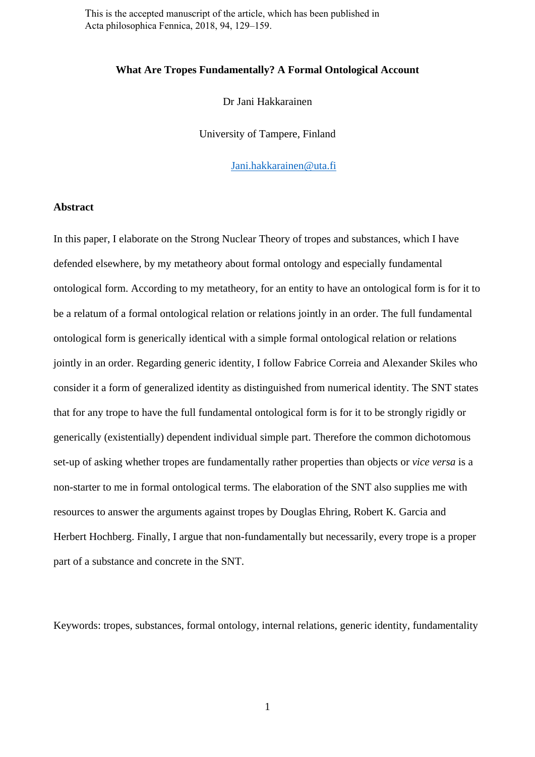This is the accepted manuscript of the article, which has been published in Acta philosophica Fennica, 2018, 94, 129–159.

#### **What Are Tropes Fundamentally? A Formal Ontological Account**

Dr Jani Hakkarainen

University of Tampere, Finland

[Jani.hakkarainen@uta.fi](mailto:Jani.hakkarainen@uta.fi)

#### **Abstract**

In this paper, I elaborate on the Strong Nuclear Theory of tropes and substances, which I have defended elsewhere, by my metatheory about formal ontology and especially fundamental ontological form. According to my metatheory, for an entity to have an ontological form is for it to be a relatum of a formal ontological relation or relations jointly in an order. The full fundamental ontological form is generically identical with a simple formal ontological relation or relations jointly in an order. Regarding generic identity, I follow Fabrice Correia and Alexander Skiles who consider it a form of generalized identity as distinguished from numerical identity. The SNT states that for any trope to have the full fundamental ontological form is for it to be strongly rigidly or generically (existentially) dependent individual simple part. Therefore the common dichotomous set-up of asking whether tropes are fundamentally rather properties than objects or *vice versa* is a non-starter to me in formal ontological terms. The elaboration of the SNT also supplies me with resources to answer the arguments against tropes by Douglas Ehring, Robert K. Garcia and Herbert Hochberg. Finally, I argue that non-fundamentally but necessarily, every trope is a proper part of a substance and concrete in the SNT.

Keywords: tropes, substances, formal ontology, internal relations, generic identity, fundamentality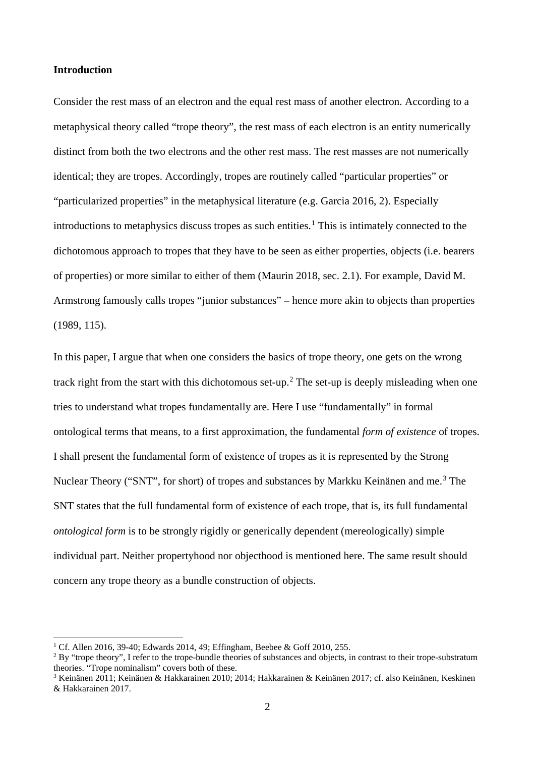# **Introduction**

Consider the rest mass of an electron and the equal rest mass of another electron. According to a metaphysical theory called "trope theory", the rest mass of each electron is an entity numerically distinct from both the two electrons and the other rest mass. The rest masses are not numerically identical; they are tropes. Accordingly, tropes are routinely called "particular properties" or "particularized properties" in the metaphysical literature (e.g. Garcia 2016, 2). Especially introductions to metaphysics discuss tropes as such entities. [1](#page-1-0) This is intimately connected to the dichotomous approach to tropes that they have to be seen as either properties, objects (i.e. bearers of properties) or more similar to either of them (Maurin 2018, sec. 2.1). For example, David M. Armstrong famously calls tropes "junior substances" – hence more akin to objects than properties (1989, 115).

In this paper, I argue that when one considers the basics of trope theory, one gets on the wrong track right from the start with this dichotomous set-up. [2](#page-1-1) The set-up is deeply misleading when one tries to understand what tropes fundamentally are. Here I use "fundamentally" in formal ontological terms that means, to a first approximation, the fundamental *form of existence* of tropes. I shall present the fundamental form of existence of tropes as it is represented by the Strong Nuclear Theory ("SNT", for short) of tropes and substances by Markku Keinänen and me.<sup>[3](#page-1-2)</sup> The SNT states that the full fundamental form of existence of each trope, that is, its full fundamental *ontological form* is to be strongly rigidly or generically dependent (mereologically) simple individual part. Neither propertyhood nor objecthood is mentioned here. The same result should concern any trope theory as a bundle construction of objects.

<span id="page-1-0"></span> <sup>1</sup> Cf. Allen 2016, 39-40; Edwards 2014, 49; Effingham, Beebee & Goff 2010, 255.

<span id="page-1-1"></span><sup>&</sup>lt;sup>2</sup> By "trope theory", I refer to the trope-bundle theories of substances and objects, in contrast to their trope-substratum theories. "Trope nominalism" covers both of these.

<span id="page-1-2"></span><sup>3</sup> Keinänen 2011; Keinänen & Hakkarainen 2010; 2014; Hakkarainen & Keinänen 2017; cf. also Keinänen, Keskinen & Hakkarainen 2017.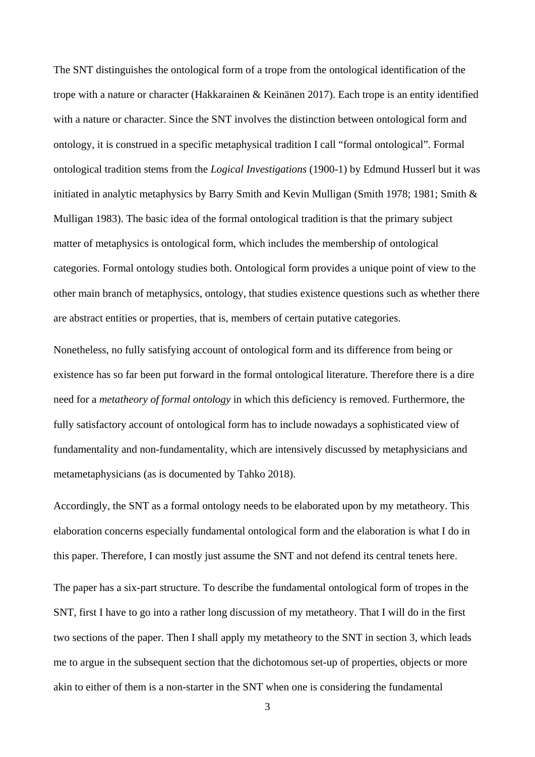The SNT distinguishes the ontological form of a trope from the ontological identification of the trope with a nature or character (Hakkarainen & Keinänen 2017). Each trope is an entity identified with a nature or character. Since the SNT involves the distinction between ontological form and ontology, it is construed in a specific metaphysical tradition I call "formal ontological". Formal ontological tradition stems from the *Logical Investigations* (1900-1) by Edmund Husserl but it was initiated in analytic metaphysics by Barry Smith and Kevin Mulligan (Smith 1978; 1981; Smith & Mulligan 1983). The basic idea of the formal ontological tradition is that the primary subject matter of metaphysics is ontological form, which includes the membership of ontological categories. Formal ontology studies both. Ontological form provides a unique point of view to the other main branch of metaphysics, ontology, that studies existence questions such as whether there are abstract entities or properties, that is, members of certain putative categories.

Nonetheless, no fully satisfying account of ontological form and its difference from being or existence has so far been put forward in the formal ontological literature. Therefore there is a dire need for a *metatheory of formal ontology* in which this deficiency is removed. Furthermore, the fully satisfactory account of ontological form has to include nowadays a sophisticated view of fundamentality and non-fundamentality, which are intensively discussed by metaphysicians and metametaphysicians (as is documented by Tahko 2018).

Accordingly, the SNT as a formal ontology needs to be elaborated upon by my metatheory. This elaboration concerns especially fundamental ontological form and the elaboration is what I do in this paper. Therefore, I can mostly just assume the SNT and not defend its central tenets here.

The paper has a six-part structure. To describe the fundamental ontological form of tropes in the SNT, first I have to go into a rather long discussion of my metatheory. That I will do in the first two sections of the paper. Then I shall apply my metatheory to the SNT in section 3, which leads me to argue in the subsequent section that the dichotomous set-up of properties, objects or more akin to either of them is a non-starter in the SNT when one is considering the fundamental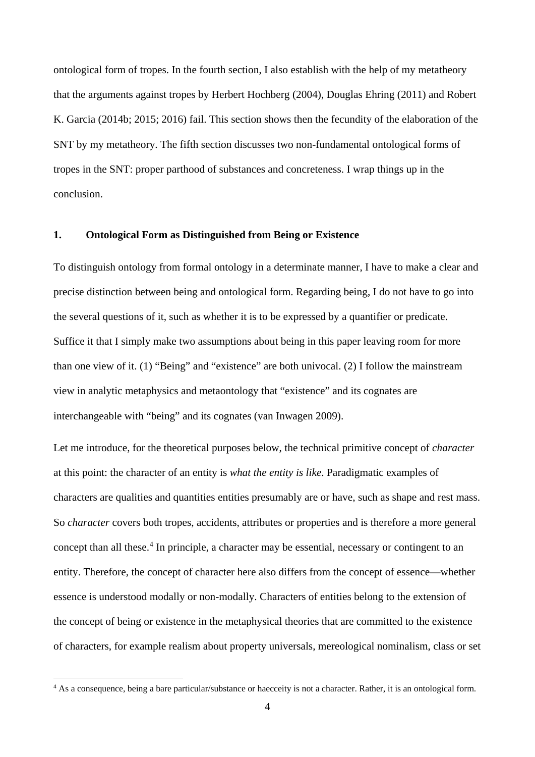ontological form of tropes. In the fourth section, I also establish with the help of my metatheory that the arguments against tropes by Herbert Hochberg (2004), Douglas Ehring (2011) and Robert K. Garcia (2014b; 2015; 2016) fail. This section shows then the fecundity of the elaboration of the SNT by my metatheory. The fifth section discusses two non-fundamental ontological forms of tropes in the SNT: proper parthood of substances and concreteness. I wrap things up in the conclusion.

#### **1. Ontological Form as Distinguished from Being or Existence**

To distinguish ontology from formal ontology in a determinate manner, I have to make a clear and precise distinction between being and ontological form. Regarding being, I do not have to go into the several questions of it, such as whether it is to be expressed by a quantifier or predicate. Suffice it that I simply make two assumptions about being in this paper leaving room for more than one view of it. (1) "Being" and "existence" are both univocal. (2) I follow the mainstream view in analytic metaphysics and metaontology that "existence" and its cognates are interchangeable with "being" and its cognates (van Inwagen 2009).

Let me introduce, for the theoretical purposes below, the technical primitive concept of *character* at this point: the character of an entity is *what the entity is like*. Paradigmatic examples of characters are qualities and quantities entities presumably are or have, such as shape and rest mass. So *character* covers both tropes, accidents, attributes or properties and is therefore a more general concept than all these. [4](#page-3-0) In principle, a character may be essential, necessary or contingent to an entity. Therefore, the concept of character here also differs from the concept of essence—whether essence is understood modally or non-modally. Characters of entities belong to the extension of the concept of being or existence in the metaphysical theories that are committed to the existence of characters, for example realism about property universals, mereological nominalism, class or set

<span id="page-3-0"></span><sup>&</sup>lt;sup>4</sup> As a consequence, being a bare particular/substance or haecceity is not a character. Rather, it is an ontological form.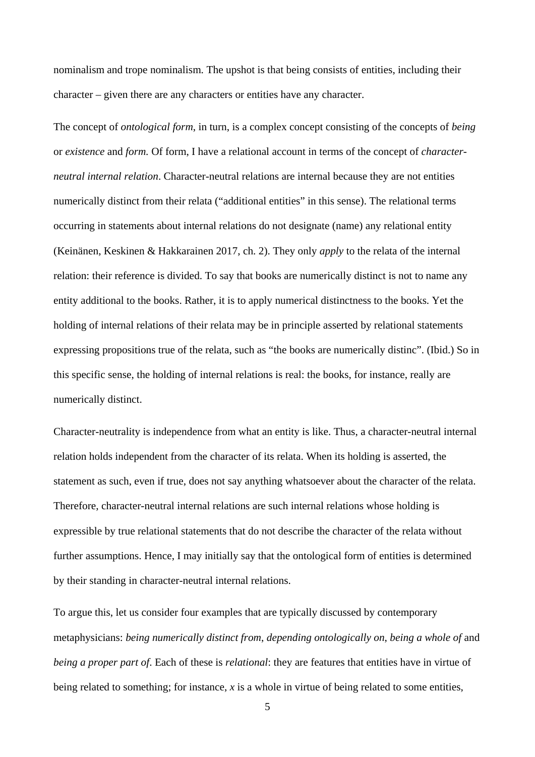nominalism and trope nominalism. The upshot is that being consists of entities, including their character – given there are any characters or entities have any character.

The concept of *ontological form*, in turn, is a complex concept consisting of the concepts of *being* or *existence* and *form.* Of form, I have a relational account in terms of the concept of *characterneutral internal relation*. Character-neutral relations are internal because they are not entities numerically distinct from their relata ("additional entities" in this sense). The relational terms occurring in statements about internal relations do not designate (name) any relational entity (Keinänen, Keskinen & Hakkarainen 2017, ch. 2). They only *apply* to the relata of the internal relation: their reference is divided. To say that books are numerically distinct is not to name any entity additional to the books. Rather, it is to apply numerical distinctness to the books. Yet the holding of internal relations of their relata may be in principle asserted by relational statements expressing propositions true of the relata, such as "the books are numerically distinc". (Ibid.) So in this specific sense, the holding of internal relations is real: the books, for instance, really are numerically distinct.

Character-neutrality is independence from what an entity is like. Thus, a character-neutral internal relation holds independent from the character of its relata. When its holding is asserted, the statement as such, even if true, does not say anything whatsoever about the character of the relata. Therefore, character-neutral internal relations are such internal relations whose holding is expressible by true relational statements that do not describe the character of the relata without further assumptions. Hence, I may initially say that the ontological form of entities is determined by their standing in character-neutral internal relations.

To argue this, let us consider four examples that are typically discussed by contemporary metaphysicians: *being numerically distinct from*, *depending ontologically on*, *being a whole of* and *being a proper part of*. Each of these is *relational*: they are features that entities have in virtue of being related to something; for instance, *x* is a whole in virtue of being related to some entities,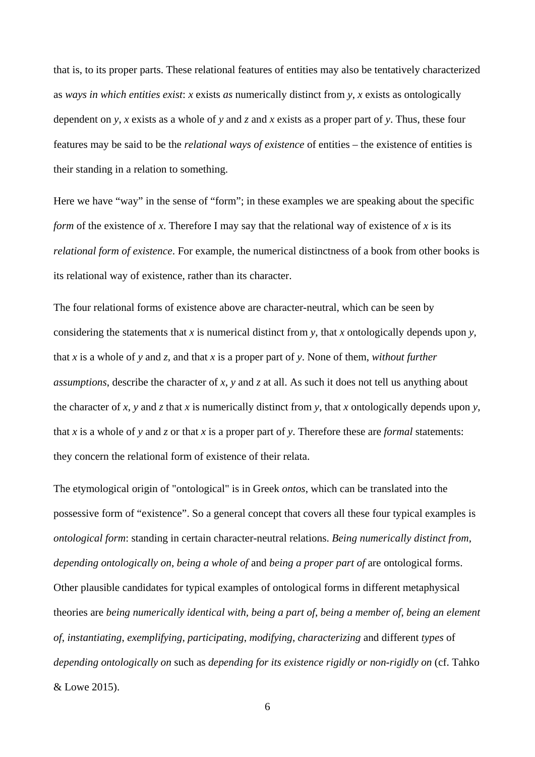that is, to its proper parts. These relational features of entities may also be tentatively characterized as *ways in which entities exist*: *x* exists *as* numerically distinct from *y*, *x* exists as ontologically dependent on *y*, *x* exists as a whole of *y* and *z* and *x* exists as a proper part of *y*. Thus, these four features may be said to be the *relational ways of existence* of entities – the existence of entities is their standing in a relation to something.

Here we have "way" in the sense of "form"; in these examples we are speaking about the specific *form* of the existence of *x*. Therefore I may say that the relational way of existence of *x* is its *relational form of existence*. For example, the numerical distinctness of a book from other books is its relational way of existence, rather than its character.

The four relational forms of existence above are character-neutral, which can be seen by considering the statements that *x* is numerical distinct from *y*, that *x* ontologically depends upon *y*, that *x* is a whole of *y* and *z*, and that *x* is a proper part of *y*. None of them, *without further assumptions*, describe the character of *x*, *y* and *z* at all. As such it does not tell us anything about the character of *x*, *y* and *z* that *x* is numerically distinct from *y*, that *x* ontologically depends upon *y*, that *x* is a whole of *y* and *z* or that *x* is a proper part of *y*. Therefore these are *formal* statements: they concern the relational form of existence of their relata.

The etymological origin of "ontological" is in Greek *ontos*, which can be translated into the possessive form of "existence". So a general concept that covers all these four typical examples is *ontological form*: standing in certain character-neutral relations. *Being numerically distinct from*, *depending ontologically on*, *being a whole of* and *being a proper part of* are ontological forms. Other plausible candidates for typical examples of ontological forms in different metaphysical theories are *being numerically identical with, being a part of*, *being a member of*, *being an element of*, *instantiating*, *exemplifying*, *participating*, *modifying*, *characterizing* and different *types* of *depending ontologically on* such as *depending for its existence rigidly or non-rigidly on* (cf. Tahko & Lowe 2015).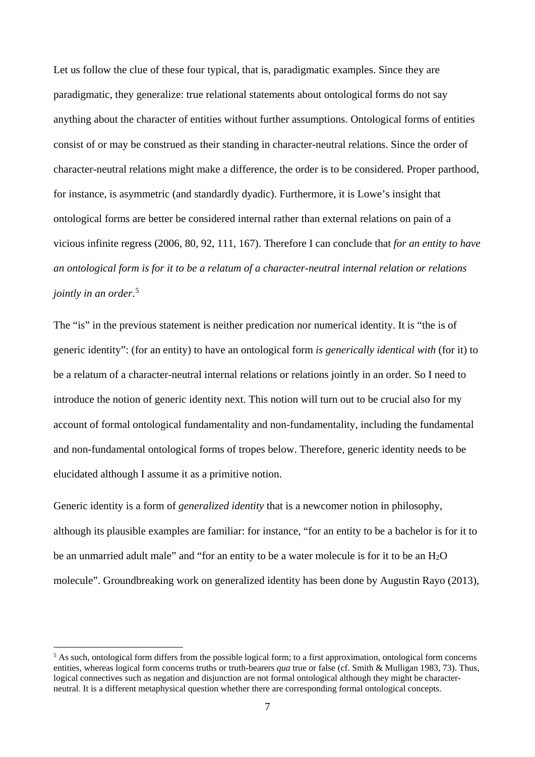Let us follow the clue of these four typical, that is, paradigmatic examples. Since they are paradigmatic, they generalize: true relational statements about ontological forms do not say anything about the character of entities without further assumptions. Ontological forms of entities consist of or may be construed as their standing in character-neutral relations. Since the order of character-neutral relations might make a difference, the order is to be considered. Proper parthood, for instance, is asymmetric (and standardly dyadic). Furthermore, it is Lowe's insight that ontological forms are better be considered internal rather than external relations on pain of a vicious infinite regress (2006, 80, 92, 111, 167). Therefore I can conclude that *for an entity to have an ontological form is for it to be a relatum of a character-neutral internal relation or relations jointly in an order*. [5](#page-6-0)

The "is" in the previous statement is neither predication nor numerical identity. It is "the is of generic identity": (for an entity) to have an ontological form *is generically identical with* (for it) to be a relatum of a character-neutral internal relations or relations jointly in an order. So I need to introduce the notion of generic identity next. This notion will turn out to be crucial also for my account of formal ontological fundamentality and non-fundamentality, including the fundamental and non-fundamental ontological forms of tropes below. Therefore, generic identity needs to be elucidated although I assume it as a primitive notion.

Generic identity is a form of *generalized identity* that is a newcomer notion in philosophy, although its plausible examples are familiar: for instance, "for an entity to be a bachelor is for it to be an unmarried adult male" and "for an entity to be a water molecule is for it to be an H2O molecule". Groundbreaking work on generalized identity has been done by Augustin Rayo (2013),

<span id="page-6-0"></span><sup>&</sup>lt;sup>5</sup> As such, ontological form differs from the possible logical form; to a first approximation, ontological form concerns entities, whereas logical form concerns truths or truth-bearers *qua* true or false (cf. Smith & Mulligan 1983, 73). Thus, logical connectives such as negation and disjunction are not formal ontological although they might be characterneutral. It is a different metaphysical question whether there are corresponding formal ontological concepts.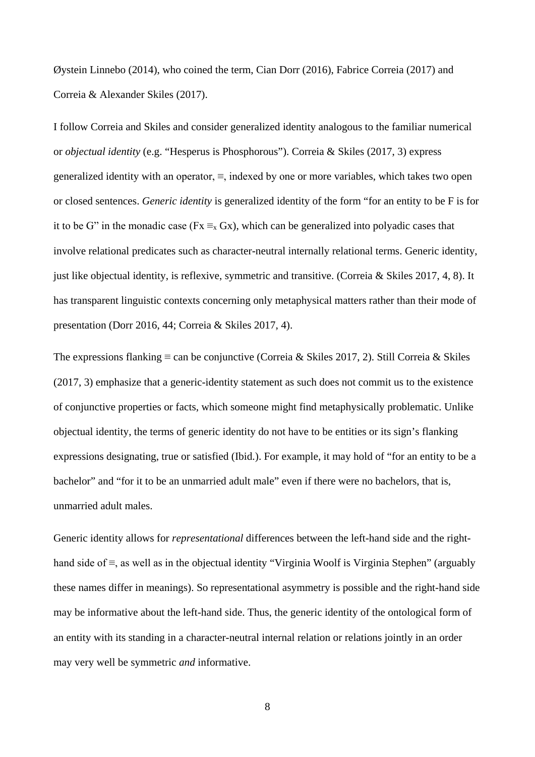Øystein Linnebo (2014), who coined the term, Cian Dorr (2016), Fabrice Correia (2017) and Correia & Alexander Skiles (2017).

I follow Correia and Skiles and consider generalized identity analogous to the familiar numerical or *objectual identity* (e.g. "Hesperus is Phosphorous"). Correia & Skiles (2017, 3) express generalized identity with an operator, ≡, indexed by one or more variables, which takes two open or closed sentences. *Generic identity* is generalized identity of the form "for an entity to be F is for it to be G" in the monadic case ( $Fx \equiv_{x} Gx$ ), which can be generalized into polyadic cases that involve relational predicates such as character-neutral internally relational terms. Generic identity, just like objectual identity, is reflexive, symmetric and transitive. (Correia & Skiles 2017, 4, 8). It has transparent linguistic contexts concerning only metaphysical matters rather than their mode of presentation (Dorr 2016, 44; Correia & Skiles 2017, 4).

The expressions flanking  $\equiv$  can be conjunctive (Correia & Skiles 2017, 2). Still Correia & Skiles (2017, 3) emphasize that a generic-identity statement as such does not commit us to the existence of conjunctive properties or facts, which someone might find metaphysically problematic. Unlike objectual identity, the terms of generic identity do not have to be entities or its sign's flanking expressions designating, true or satisfied (Ibid.). For example, it may hold of "for an entity to be a bachelor" and "for it to be an unmarried adult male" even if there were no bachelors, that is, unmarried adult males.

Generic identity allows for *representational* differences between the left-hand side and the righthand side of ≡, as well as in the objectual identity "Virginia Woolf is Virginia Stephen" (arguably these names differ in meanings). So representational asymmetry is possible and the right-hand side may be informative about the left-hand side. Thus, the generic identity of the ontological form of an entity with its standing in a character-neutral internal relation or relations jointly in an order may very well be symmetric *and* informative.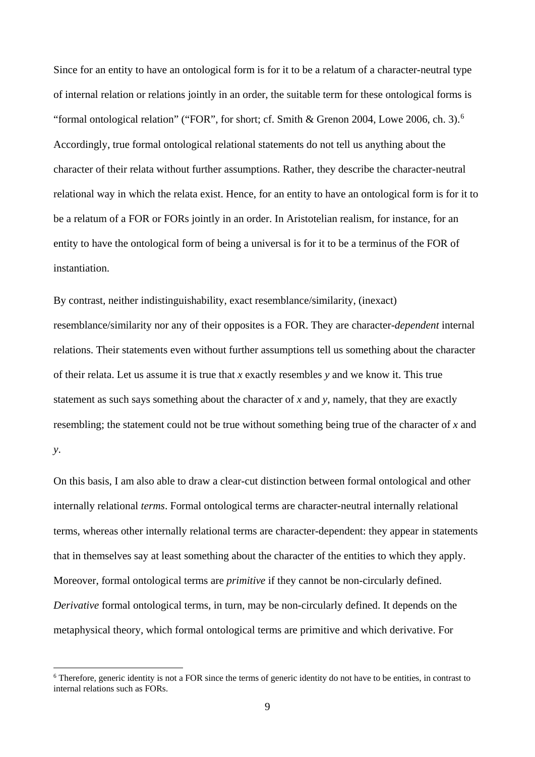Since for an entity to have an ontological form is for it to be a relatum of a character-neutral type of internal relation or relations jointly in an order, the suitable term for these ontological forms is "formal ontological relation" ("FOR", for short; cf. Smith & Grenon 2004, Lowe 200[6](#page-8-0), ch. 3).<sup>6</sup> Accordingly, true formal ontological relational statements do not tell us anything about the character of their relata without further assumptions. Rather, they describe the character-neutral relational way in which the relata exist. Hence, for an entity to have an ontological form is for it to be a relatum of a FOR or FORs jointly in an order. In Aristotelian realism, for instance, for an entity to have the ontological form of being a universal is for it to be a terminus of the FOR of instantiation.

By contrast, neither indistinguishability, exact resemblance/similarity, (inexact) resemblance/similarity nor any of their opposites is a FOR. They are character-*dependent* internal relations. Their statements even without further assumptions tell us something about the character of their relata. Let us assume it is true that *x* exactly resembles *y* and we know it. This true statement as such says something about the character of *x* and *y*, namely, that they are exactly resembling; the statement could not be true without something being true of the character of *x* and *y*.

On this basis, I am also able to draw a clear-cut distinction between formal ontological and other internally relational *terms*. Formal ontological terms are character-neutral internally relational terms, whereas other internally relational terms are character-dependent: they appear in statements that in themselves say at least something about the character of the entities to which they apply. Moreover, formal ontological terms are *primitive* if they cannot be non-circularly defined. *Derivative* formal ontological terms, in turn, may be non-circularly defined. It depends on the metaphysical theory, which formal ontological terms are primitive and which derivative. For

<span id="page-8-0"></span> <sup>6</sup> Therefore, generic identity is not a FOR since the terms of generic identity do not have to be entities, in contrast to internal relations such as FORs.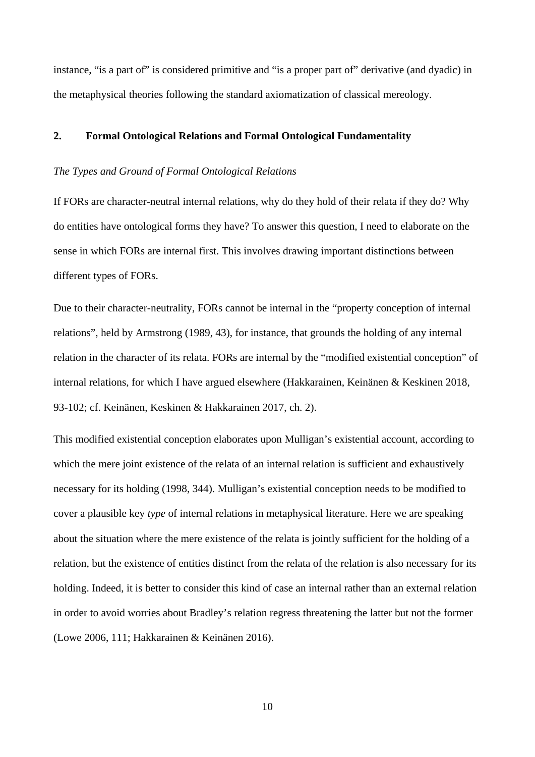instance, "is a part of" is considered primitive and "is a proper part of" derivative (and dyadic) in the metaphysical theories following the standard axiomatization of classical mereology.

# **2. Formal Ontological Relations and Formal Ontological Fundamentality**

#### *The Types and Ground of Formal Ontological Relations*

If FORs are character-neutral internal relations, why do they hold of their relata if they do? Why do entities have ontological forms they have? To answer this question, I need to elaborate on the sense in which FORs are internal first. This involves drawing important distinctions between different types of FORs.

Due to their character-neutrality, FORs cannot be internal in the "property conception of internal relations", held by Armstrong (1989, 43), for instance, that grounds the holding of any internal relation in the character of its relata. FORs are internal by the "modified existential conception" of internal relations, for which I have argued elsewhere (Hakkarainen, Keinänen & Keskinen 2018, 93-102; cf. Keinänen, Keskinen & Hakkarainen 2017, ch. 2).

This modified existential conception elaborates upon Mulligan's existential account, according to which the mere joint existence of the relata of an internal relation is sufficient and exhaustively necessary for its holding (1998, 344). Mulligan's existential conception needs to be modified to cover a plausible key *type* of internal relations in metaphysical literature. Here we are speaking about the situation where the mere existence of the relata is jointly sufficient for the holding of a relation, but the existence of entities distinct from the relata of the relation is also necessary for its holding. Indeed, it is better to consider this kind of case an internal rather than an external relation in order to avoid worries about Bradley's relation regress threatening the latter but not the former (Lowe 2006, 111; Hakkarainen & Keinänen 2016).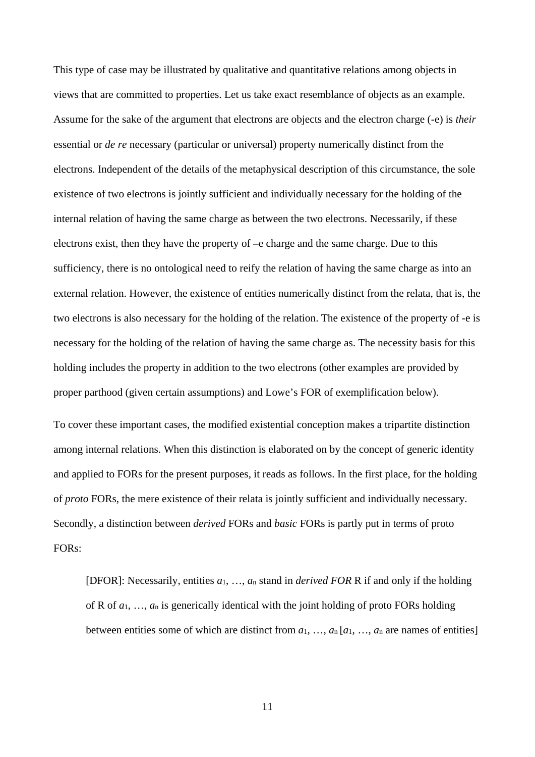This type of case may be illustrated by qualitative and quantitative relations among objects in views that are committed to properties. Let us take exact resemblance of objects as an example. Assume for the sake of the argument that electrons are objects and the electron charge (-e) is *their* essential or *de re* necessary (particular or universal) property numerically distinct from the electrons. Independent of the details of the metaphysical description of this circumstance, the sole existence of two electrons is jointly sufficient and individually necessary for the holding of the internal relation of having the same charge as between the two electrons. Necessarily, if these electrons exist, then they have the property of –e charge and the same charge. Due to this sufficiency, there is no ontological need to reify the relation of having the same charge as into an external relation. However, the existence of entities numerically distinct from the relata, that is, the two electrons is also necessary for the holding of the relation. The existence of the property of -e is necessary for the holding of the relation of having the same charge as. The necessity basis for this holding includes the property in addition to the two electrons (other examples are provided by proper parthood (given certain assumptions) and Lowe's FOR of exemplification below).

To cover these important cases, the modified existential conception makes a tripartite distinction among internal relations. When this distinction is elaborated on by the concept of generic identity and applied to FORs for the present purposes, it reads as follows. In the first place, for the holding of *proto* FORs, the mere existence of their relata is jointly sufficient and individually necessary. Secondly, a distinction between *derived* FORs and *basic* FORs is partly put in terms of proto FORs:

[DFOR]: Necessarily, entities *a*1, …, *a*<sup>n</sup> stand in *derived FOR* R if and only if the holding of R of *a*1, …, *a*<sup>n</sup> is generically identical with the joint holding of proto FORs holding between entities some of which are distinct from  $a_1, \ldots, a_n [a_1, \ldots, a_n]$  are names of entities]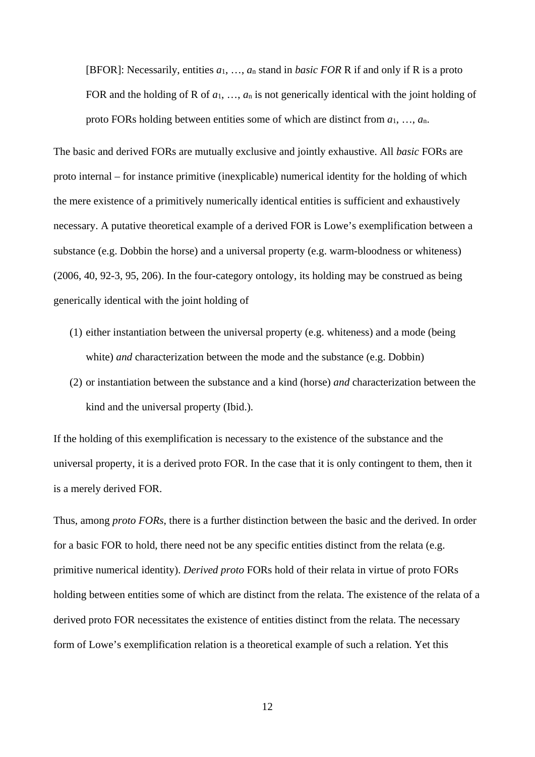[BFOR]: Necessarily, entities *a*1, …, *a*<sup>n</sup> stand in *basic FOR* R if and only if R is a proto FOR and the holding of R of *a*1, …, *a*<sup>n</sup> is not generically identical with the joint holding of proto FORs holding between entities some of which are distinct from *a*1, …, *a*n.

The basic and derived FORs are mutually exclusive and jointly exhaustive. All *basic* FORs are proto internal – for instance primitive (inexplicable) numerical identity for the holding of which the mere existence of a primitively numerically identical entities is sufficient and exhaustively necessary. A putative theoretical example of a derived FOR is Lowe's exemplification between a substance (e.g. Dobbin the horse) and a universal property (e.g. warm-bloodness or whiteness) (2006, 40, 92-3, 95, 206). In the four-category ontology, its holding may be construed as being generically identical with the joint holding of

- (1) either instantiation between the universal property (e.g. whiteness) and a mode (being white) *and* characterization between the mode and the substance (e.g. Dobbin)
- (2) or instantiation between the substance and a kind (horse) *and* characterization between the kind and the universal property (Ibid.).

If the holding of this exemplification is necessary to the existence of the substance and the universal property, it is a derived proto FOR. In the case that it is only contingent to them, then it is a merely derived FOR.

Thus, among *proto FORs*, there is a further distinction between the basic and the derived. In order for a basic FOR to hold, there need not be any specific entities distinct from the relata (e.g. primitive numerical identity). *Derived proto* FORs hold of their relata in virtue of proto FORs holding between entities some of which are distinct from the relata. The existence of the relata of a derived proto FOR necessitates the existence of entities distinct from the relata. The necessary form of Lowe's exemplification relation is a theoretical example of such a relation. Yet this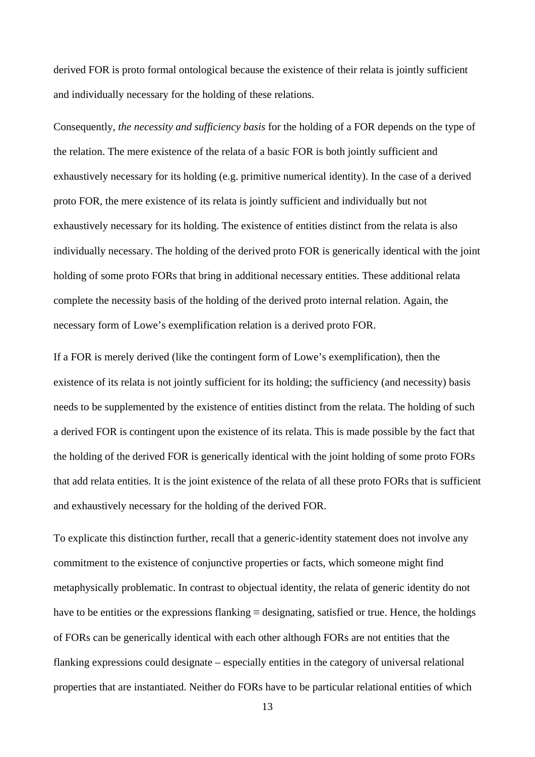derived FOR is proto formal ontological because the existence of their relata is jointly sufficient and individually necessary for the holding of these relations.

Consequently, *the necessity and sufficiency basis* for the holding of a FOR depends on the type of the relation. The mere existence of the relata of a basic FOR is both jointly sufficient and exhaustively necessary for its holding (e.g. primitive numerical identity). In the case of a derived proto FOR, the mere existence of its relata is jointly sufficient and individually but not exhaustively necessary for its holding. The existence of entities distinct from the relata is also individually necessary. The holding of the derived proto FOR is generically identical with the joint holding of some proto FORs that bring in additional necessary entities. These additional relata complete the necessity basis of the holding of the derived proto internal relation. Again, the necessary form of Lowe's exemplification relation is a derived proto FOR.

If a FOR is merely derived (like the contingent form of Lowe's exemplification), then the existence of its relata is not jointly sufficient for its holding; the sufficiency (and necessity) basis needs to be supplemented by the existence of entities distinct from the relata. The holding of such a derived FOR is contingent upon the existence of its relata. This is made possible by the fact that the holding of the derived FOR is generically identical with the joint holding of some proto FORs that add relata entities. It is the joint existence of the relata of all these proto FORs that is sufficient and exhaustively necessary for the holding of the derived FOR.

To explicate this distinction further, recall that a generic-identity statement does not involve any commitment to the existence of conjunctive properties or facts, which someone might find metaphysically problematic. In contrast to objectual identity, the relata of generic identity do not have to be entities or the expressions flanking  $\equiv$  designating, satisfied or true. Hence, the holdings of FORs can be generically identical with each other although FORs are not entities that the flanking expressions could designate – especially entities in the category of universal relational properties that are instantiated. Neither do FORs have to be particular relational entities of which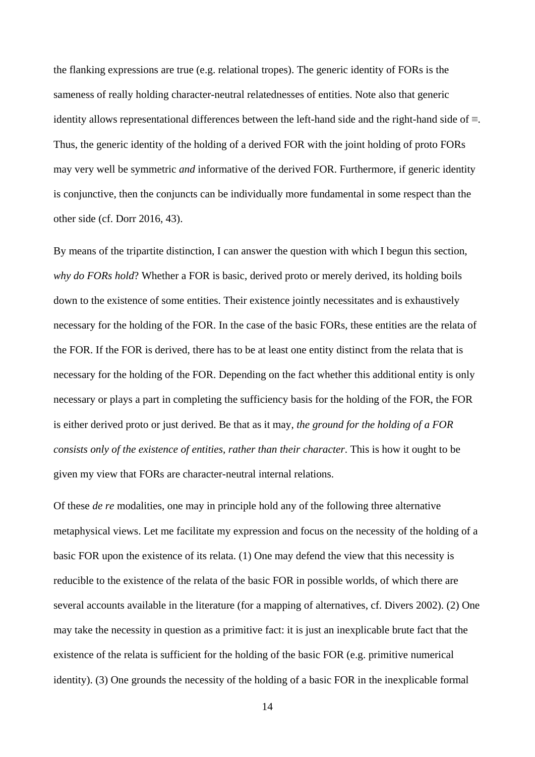the flanking expressions are true (e.g. relational tropes). The generic identity of FORs is the sameness of really holding character-neutral relatednesses of entities. Note also that generic identity allows representational differences between the left-hand side and the right-hand side of ≡. Thus, the generic identity of the holding of a derived FOR with the joint holding of proto FORs may very well be symmetric *and* informative of the derived FOR. Furthermore, if generic identity is conjunctive, then the conjuncts can be individually more fundamental in some respect than the other side (cf. Dorr 2016, 43).

By means of the tripartite distinction, I can answer the question with which I begun this section, *why do FORs hold*? Whether a FOR is basic, derived proto or merely derived, its holding boils down to the existence of some entities. Their existence jointly necessitates and is exhaustively necessary for the holding of the FOR. In the case of the basic FORs, these entities are the relata of the FOR. If the FOR is derived, there has to be at least one entity distinct from the relata that is necessary for the holding of the FOR. Depending on the fact whether this additional entity is only necessary or plays a part in completing the sufficiency basis for the holding of the FOR, the FOR is either derived proto or just derived. Be that as it may, *the ground for the holding of a FOR consists only of the existence of entities, rather than their character*. This is how it ought to be given my view that FORs are character-neutral internal relations.

Of these *de re* modalities, one may in principle hold any of the following three alternative metaphysical views. Let me facilitate my expression and focus on the necessity of the holding of a basic FOR upon the existence of its relata. (1) One may defend the view that this necessity is reducible to the existence of the relata of the basic FOR in possible worlds, of which there are several accounts available in the literature (for a mapping of alternatives, cf. Divers 2002). (2) One may take the necessity in question as a primitive fact: it is just an inexplicable brute fact that the existence of the relata is sufficient for the holding of the basic FOR (e.g. primitive numerical identity). (3) One grounds the necessity of the holding of a basic FOR in the inexplicable formal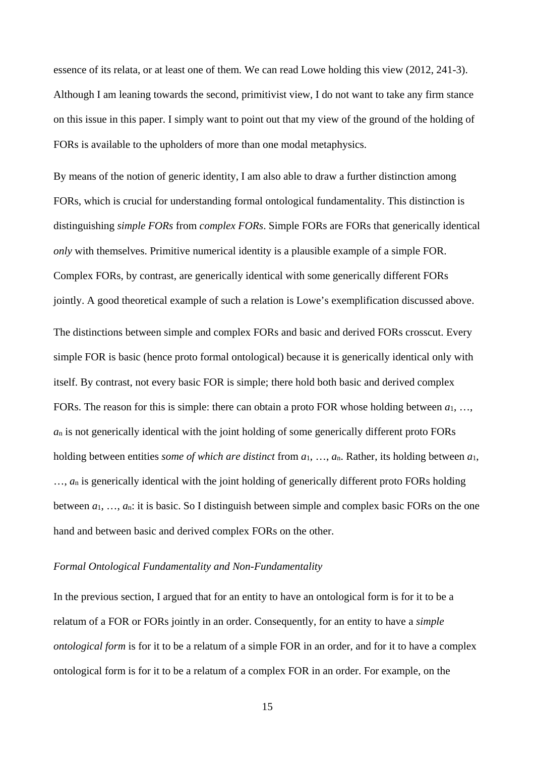essence of its relata, or at least one of them. We can read Lowe holding this view (2012, 241-3). Although I am leaning towards the second, primitivist view, I do not want to take any firm stance on this issue in this paper. I simply want to point out that my view of the ground of the holding of FORs is available to the upholders of more than one modal metaphysics.

By means of the notion of generic identity, I am also able to draw a further distinction among FORs, which is crucial for understanding formal ontological fundamentality. This distinction is distinguishing *simple FORs* from *complex FORs*. Simple FORs are FORs that generically identical *only* with themselves. Primitive numerical identity is a plausible example of a simple FOR. Complex FORs, by contrast, are generically identical with some generically different FORs jointly. A good theoretical example of such a relation is Lowe's exemplification discussed above. The distinctions between simple and complex FORs and basic and derived FORs crosscut. Every simple FOR is basic (hence proto formal ontological) because it is generically identical only with itself. By contrast, not every basic FOR is simple; there hold both basic and derived complex FORs. The reason for this is simple: there can obtain a proto FOR whose holding between *a*1, …, *a*<sup>n</sup> is not generically identical with the joint holding of some generically different proto FORs holding between entities *some of which are distinct* from *a*1, …, *a*n. Rather, its holding between *a*1, ...,  $a_n$  is generically identical with the joint holding of generically different proto FORs holding between *a*1, …, *a*n: it is basic. So I distinguish between simple and complex basic FORs on the one hand and between basic and derived complex FORs on the other.

#### *Formal Ontological Fundamentality and Non-Fundamentality*

In the previous section, I argued that for an entity to have an ontological form is for it to be a relatum of a FOR or FORs jointly in an order. Consequently, for an entity to have a *simple ontological form* is for it to be a relatum of a simple FOR in an order, and for it to have a complex ontological form is for it to be a relatum of a complex FOR in an order. For example, on the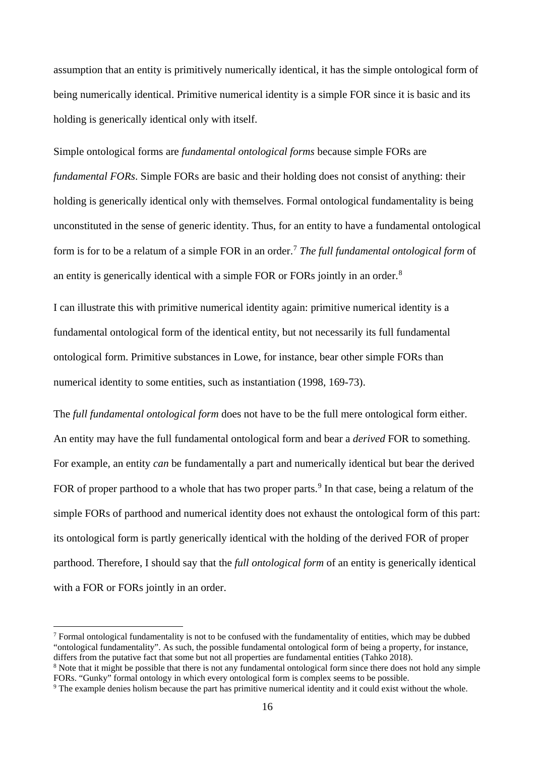assumption that an entity is primitively numerically identical, it has the simple ontological form of being numerically identical. Primitive numerical identity is a simple FOR since it is basic and its holding is generically identical only with itself.

Simple ontological forms are *fundamental ontological forms* because simple FORs are

*fundamental FORs*. Simple FORs are basic and their holding does not consist of anything: their holding is generically identical only with themselves. Formal ontological fundamentality is being unconstituted in the sense of generic identity. Thus, for an entity to have a fundamental ontological form is for to be a relatum of a simple FOR in an order.[7](#page-15-0) *The full fundamental ontological form* of an entity is generically identical with a simple FOR or FORs jointly in an order.[8](#page-15-1)

I can illustrate this with primitive numerical identity again: primitive numerical identity is a fundamental ontological form of the identical entity, but not necessarily its full fundamental ontological form. Primitive substances in Lowe, for instance, bear other simple FORs than numerical identity to some entities, such as instantiation (1998, 169-73).

The *full fundamental ontological form* does not have to be the full mere ontological form either. An entity may have the full fundamental ontological form and bear a *derived* FOR to something. For example, an entity *can* be fundamentally a part and numerically identical but bear the derived FOR of proper parthood to a whole that has two proper parts.<sup>[9](#page-15-2)</sup> In that case, being a relatum of the simple FORs of parthood and numerical identity does not exhaust the ontological form of this part: its ontological form is partly generically identical with the holding of the derived FOR of proper parthood. Therefore, I should say that the *full ontological form* of an entity is generically identical with a FOR or FORs jointly in an order.

<span id="page-15-0"></span> $<sup>7</sup>$  Formal ontological fundamentality is not to be confused with the fundamentality of entities, which may be dubbed</sup> "ontological fundamentality". As such, the possible fundamental ontological form of being a property, for instance, differs from the putative fact that some but not all properties are fundamental entities (Tahko 2018).

<span id="page-15-1"></span><sup>&</sup>lt;sup>8</sup> Note that it might be possible that there is not any fundamental ontological form since there does not hold any simple FORs. "Gunky" formal ontology in which every ontological form is complex seems to be possible.

<span id="page-15-2"></span><sup>&</sup>lt;sup>9</sup> The example denies holism because the part has primitive numerical identity and it could exist without the whole.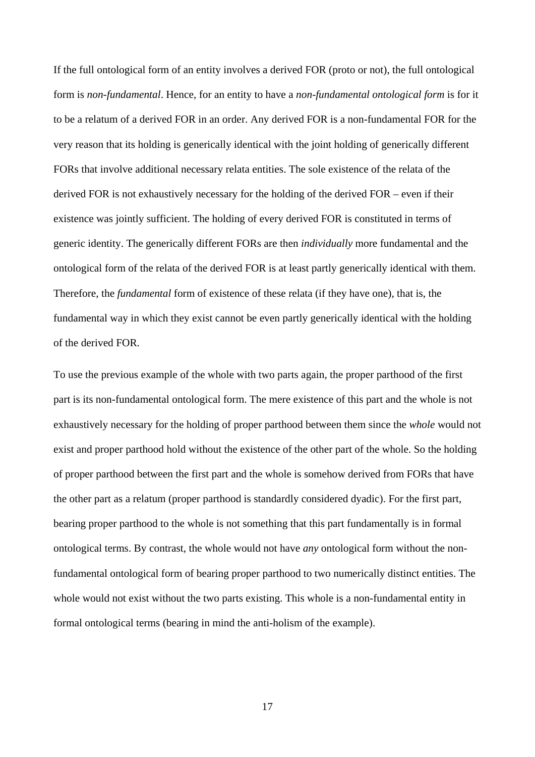If the full ontological form of an entity involves a derived FOR (proto or not), the full ontological form is *non-fundamental*. Hence, for an entity to have a *non-fundamental ontological form* is for it to be a relatum of a derived FOR in an order. Any derived FOR is a non-fundamental FOR for the very reason that its holding is generically identical with the joint holding of generically different FORs that involve additional necessary relata entities. The sole existence of the relata of the derived FOR is not exhaustively necessary for the holding of the derived FOR – even if their existence was jointly sufficient. The holding of every derived FOR is constituted in terms of generic identity. The generically different FORs are then *individually* more fundamental and the ontological form of the relata of the derived FOR is at least partly generically identical with them. Therefore, the *fundamental* form of existence of these relata (if they have one), that is, the fundamental way in which they exist cannot be even partly generically identical with the holding of the derived FOR.

To use the previous example of the whole with two parts again, the proper parthood of the first part is its non-fundamental ontological form. The mere existence of this part and the whole is not exhaustively necessary for the holding of proper parthood between them since the *whole* would not exist and proper parthood hold without the existence of the other part of the whole. So the holding of proper parthood between the first part and the whole is somehow derived from FORs that have the other part as a relatum (proper parthood is standardly considered dyadic). For the first part, bearing proper parthood to the whole is not something that this part fundamentally is in formal ontological terms. By contrast, the whole would not have *any* ontological form without the nonfundamental ontological form of bearing proper parthood to two numerically distinct entities. The whole would not exist without the two parts existing. This whole is a non-fundamental entity in formal ontological terms (bearing in mind the anti-holism of the example).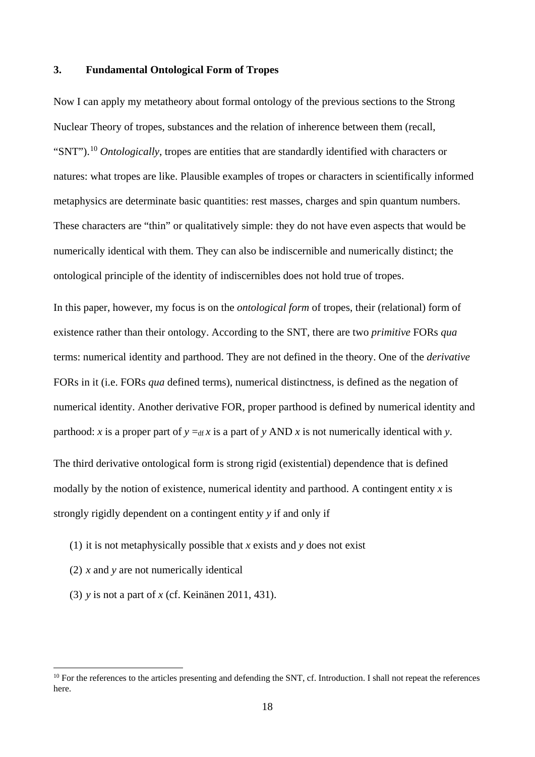## **3. Fundamental Ontological Form of Tropes**

Now I can apply my metatheory about formal ontology of the previous sections to the Strong Nuclear Theory of tropes, substances and the relation of inherence between them (recall, "SNT").[10](#page-17-0) *Ontologically*, tropes are entities that are standardly identified with characters or natures: what tropes are like. Plausible examples of tropes or characters in scientifically informed metaphysics are determinate basic quantities: rest masses, charges and spin quantum numbers. These characters are "thin" or qualitatively simple: they do not have even aspects that would be numerically identical with them. They can also be indiscernible and numerically distinct; the ontological principle of the identity of indiscernibles does not hold true of tropes.

In this paper, however, my focus is on the *ontological form* of tropes, their (relational) form of existence rather than their ontology. According to the SNT, there are two *primitive* FORs *qua* terms: numerical identity and parthood. They are not defined in the theory. One of the *derivative* FORs in it (i.e. FORs *qua* defined terms), numerical distinctness, is defined as the negation of numerical identity. Another derivative FOR, proper parthood is defined by numerical identity and parthood: *x* is a proper part of  $y = df x$  is a part of *y* AND *x* is not numerically identical with *y*.

The third derivative ontological form is strong rigid (existential) dependence that is defined modally by the notion of existence, numerical identity and parthood. A contingent entity *x* is strongly rigidly dependent on a contingent entity *y* if and only if

- (1) it is not metaphysically possible that *x* exists and *y* does not exist
- (2) *x* and *y* are not numerically identical
- (3) *y* is not a part of *x* (cf. Keinänen 2011, 431).

<span id="page-17-0"></span> $10$  For the references to the articles presenting and defending the SNT, cf. Introduction. I shall not repeat the references here.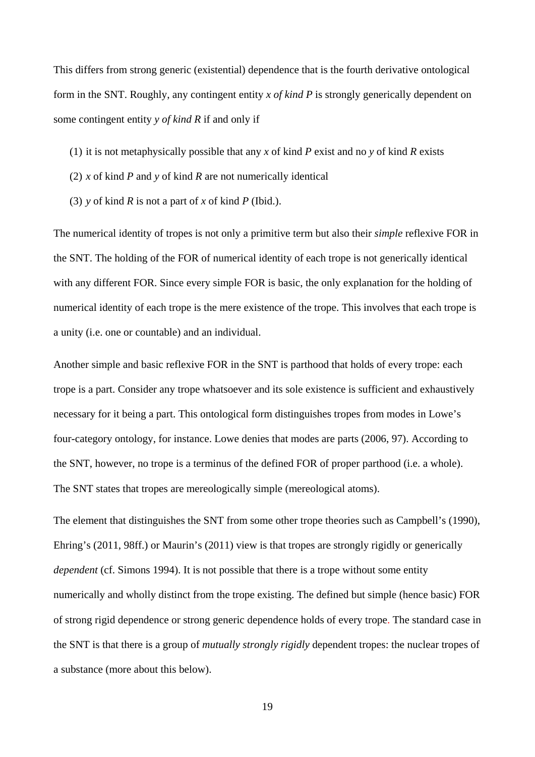This differs from strong generic (existential) dependence that is the fourth derivative ontological form in the SNT. Roughly, any contingent entity *x of kind P* is strongly generically dependent on some contingent entity *y of kind R* if and only if

- (1) it is not metaphysically possible that any *x* of kind *P* exist and no *y* of kind *R* exists
- (2) *x* of kind *P* and *y* of kind *R* are not numerically identical
- (3) *y* of kind *R* is not a part of *x* of kind *P* (Ibid.).

The numerical identity of tropes is not only a primitive term but also their *simple* reflexive FOR in the SNT. The holding of the FOR of numerical identity of each trope is not generically identical with any different FOR. Since every simple FOR is basic, the only explanation for the holding of numerical identity of each trope is the mere existence of the trope. This involves that each trope is a unity (i.e. one or countable) and an individual.

Another simple and basic reflexive FOR in the SNT is parthood that holds of every trope: each trope is a part. Consider any trope whatsoever and its sole existence is sufficient and exhaustively necessary for it being a part. This ontological form distinguishes tropes from modes in Lowe's four-category ontology, for instance. Lowe denies that modes are parts (2006, 97). According to the SNT, however, no trope is a terminus of the defined FOR of proper parthood (i.e. a whole). The SNT states that tropes are mereologically simple (mereological atoms).

The element that distinguishes the SNT from some other trope theories such as Campbell's (1990), Ehring's (2011, 98ff.) or Maurin's (2011) view is that tropes are strongly rigidly or generically *dependent* (cf. Simons 1994). It is not possible that there is a trope without some entity numerically and wholly distinct from the trope existing. The defined but simple (hence basic) FOR of strong rigid dependence or strong generic dependence holds of every trope. The standard case in the SNT is that there is a group of *mutually strongly rigidly* dependent tropes: the nuclear tropes of a substance (more about this below).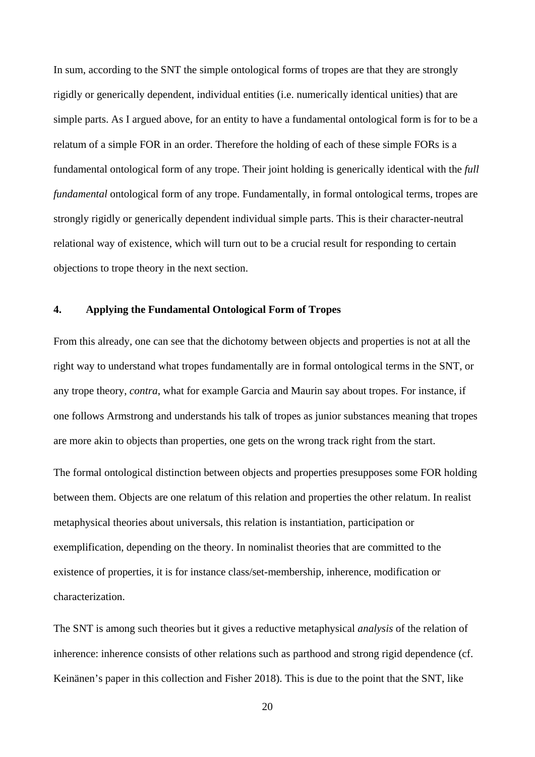In sum, according to the SNT the simple ontological forms of tropes are that they are strongly rigidly or generically dependent, individual entities (i.e. numerically identical unities) that are simple parts. As I argued above, for an entity to have a fundamental ontological form is for to be a relatum of a simple FOR in an order. Therefore the holding of each of these simple FORs is a fundamental ontological form of any trope. Their joint holding is generically identical with the *full fundamental* ontological form of any trope. Fundamentally, in formal ontological terms, tropes are strongly rigidly or generically dependent individual simple parts. This is their character-neutral relational way of existence, which will turn out to be a crucial result for responding to certain objections to trope theory in the next section.

# **4. Applying the Fundamental Ontological Form of Tropes**

From this already, one can see that the dichotomy between objects and properties is not at all the right way to understand what tropes fundamentally are in formal ontological terms in the SNT, or any trope theory, *contra*, what for example Garcia and Maurin say about tropes. For instance, if one follows Armstrong and understands his talk of tropes as junior substances meaning that tropes are more akin to objects than properties, one gets on the wrong track right from the start.

The formal ontological distinction between objects and properties presupposes some FOR holding between them. Objects are one relatum of this relation and properties the other relatum. In realist metaphysical theories about universals, this relation is instantiation, participation or exemplification, depending on the theory. In nominalist theories that are committed to the existence of properties, it is for instance class/set-membership, inherence, modification or characterization.

The SNT is among such theories but it gives a reductive metaphysical *analysis* of the relation of inherence: inherence consists of other relations such as parthood and strong rigid dependence (cf. Keinänen's paper in this collection and Fisher 2018). This is due to the point that the SNT, like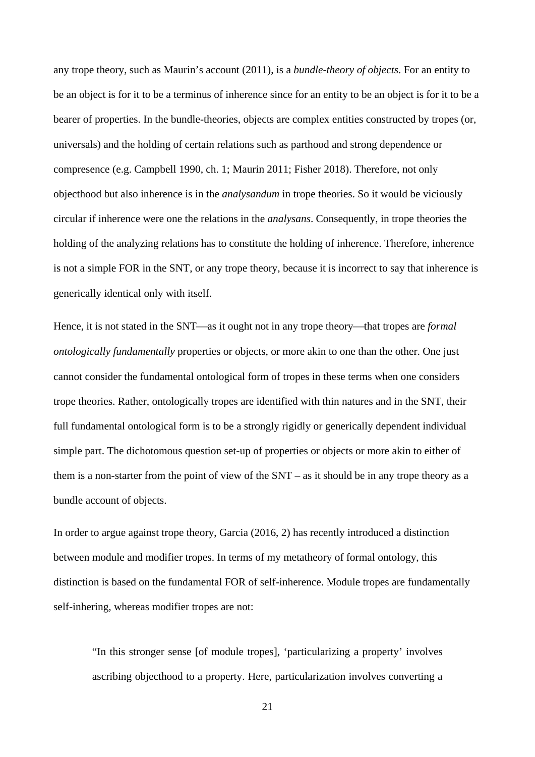any trope theory, such as Maurin's account (2011), is a *bundle-theory of objects*. For an entity to be an object is for it to be a terminus of inherence since for an entity to be an object is for it to be a bearer of properties. In the bundle-theories, objects are complex entities constructed by tropes (or, universals) and the holding of certain relations such as parthood and strong dependence or compresence (e.g. Campbell 1990, ch. 1; Maurin 2011; Fisher 2018). Therefore, not only objecthood but also inherence is in the *analysandum* in trope theories. So it would be viciously circular if inherence were one the relations in the *analysans*. Consequently, in trope theories the holding of the analyzing relations has to constitute the holding of inherence. Therefore, inherence is not a simple FOR in the SNT, or any trope theory, because it is incorrect to say that inherence is generically identical only with itself.

Hence, it is not stated in the SNT—as it ought not in any trope theory—that tropes are *formal ontologically fundamentally* properties or objects, or more akin to one than the other. One just cannot consider the fundamental ontological form of tropes in these terms when one considers trope theories. Rather, ontologically tropes are identified with thin natures and in the SNT, their full fundamental ontological form is to be a strongly rigidly or generically dependent individual simple part. The dichotomous question set-up of properties or objects or more akin to either of them is a non-starter from the point of view of the SNT – as it should be in any trope theory as a bundle account of objects.

In order to argue against trope theory, Garcia (2016, 2) has recently introduced a distinction between module and modifier tropes. In terms of my metatheory of formal ontology, this distinction is based on the fundamental FOR of self-inherence. Module tropes are fundamentally self-inhering, whereas modifier tropes are not:

"In this stronger sense [of module tropes], 'particularizing a property' involves ascribing objecthood to a property. Here, particularization involves converting a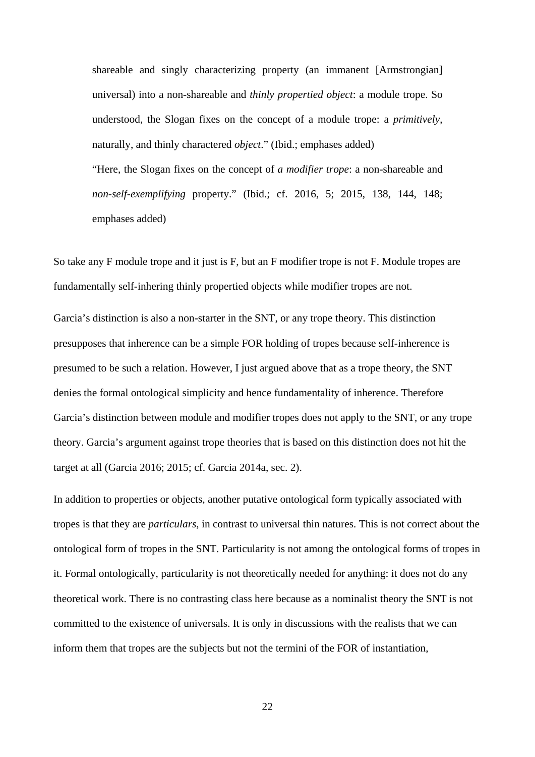shareable and singly characterizing property (an immanent [Armstrongian] universal) into a non-shareable and *thinly propertied object*: a module trope. So understood, the Slogan fixes on the concept of a module trope: a *primitively*, naturally, and thinly charactered *object*." (Ibid.; emphases added)

"Here, the Slogan fixes on the concept of *a modifier trope*: a non-shareable and *non-self-exemplifying* property." (Ibid.; cf. 2016, 5; 2015, 138, 144, 148; emphases added)

So take any F module trope and it just is F, but an F modifier trope is not F. Module tropes are fundamentally self-inhering thinly propertied objects while modifier tropes are not.

Garcia's distinction is also a non-starter in the SNT, or any trope theory. This distinction presupposes that inherence can be a simple FOR holding of tropes because self-inherence is presumed to be such a relation. However, I just argued above that as a trope theory, the SNT denies the formal ontological simplicity and hence fundamentality of inherence. Therefore Garcia's distinction between module and modifier tropes does not apply to the SNT, or any trope theory. Garcia's argument against trope theories that is based on this distinction does not hit the target at all (Garcia 2016; 2015; cf. Garcia 2014a, sec. 2).

In addition to properties or objects, another putative ontological form typically associated with tropes is that they are *particulars*, in contrast to universal thin natures. This is not correct about the ontological form of tropes in the SNT. Particularity is not among the ontological forms of tropes in it. Formal ontologically, particularity is not theoretically needed for anything: it does not do any theoretical work. There is no contrasting class here because as a nominalist theory the SNT is not committed to the existence of universals. It is only in discussions with the realists that we can inform them that tropes are the subjects but not the termini of the FOR of instantiation,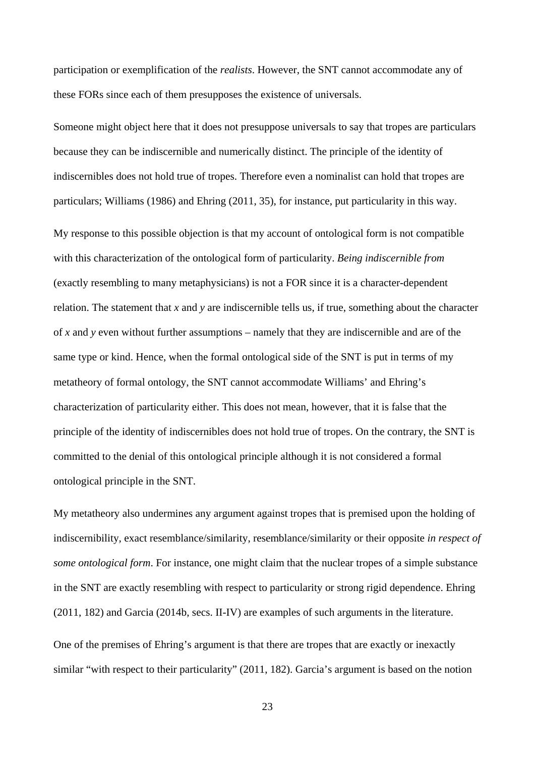participation or exemplification of the *realists*. However, the SNT cannot accommodate any of these FORs since each of them presupposes the existence of universals.

Someone might object here that it does not presuppose universals to say that tropes are particulars because they can be indiscernible and numerically distinct. The principle of the identity of indiscernibles does not hold true of tropes. Therefore even a nominalist can hold that tropes are particulars; Williams (1986) and Ehring (2011, 35), for instance, put particularity in this way.

My response to this possible objection is that my account of ontological form is not compatible with this characterization of the ontological form of particularity. *Being indiscernible from* (exactly resembling to many metaphysicians) is not a FOR since it is a character-dependent relation. The statement that *x* and *y* are indiscernible tells us, if true, something about the character of *x* and *y* even without further assumptions – namely that they are indiscernible and are of the same type or kind. Hence, when the formal ontological side of the SNT is put in terms of my metatheory of formal ontology, the SNT cannot accommodate Williams' and Ehring's characterization of particularity either. This does not mean, however, that it is false that the principle of the identity of indiscernibles does not hold true of tropes. On the contrary, the SNT is committed to the denial of this ontological principle although it is not considered a formal ontological principle in the SNT.

My metatheory also undermines any argument against tropes that is premised upon the holding of indiscernibility, exact resemblance/similarity, resemblance/similarity or their opposite *in respect of some ontological form*. For instance, one might claim that the nuclear tropes of a simple substance in the SNT are exactly resembling with respect to particularity or strong rigid dependence. Ehring (2011, 182) and Garcia (2014b, secs. II-IV) are examples of such arguments in the literature.

One of the premises of Ehring's argument is that there are tropes that are exactly or inexactly similar "with respect to their particularity" (2011, 182). Garcia's argument is based on the notion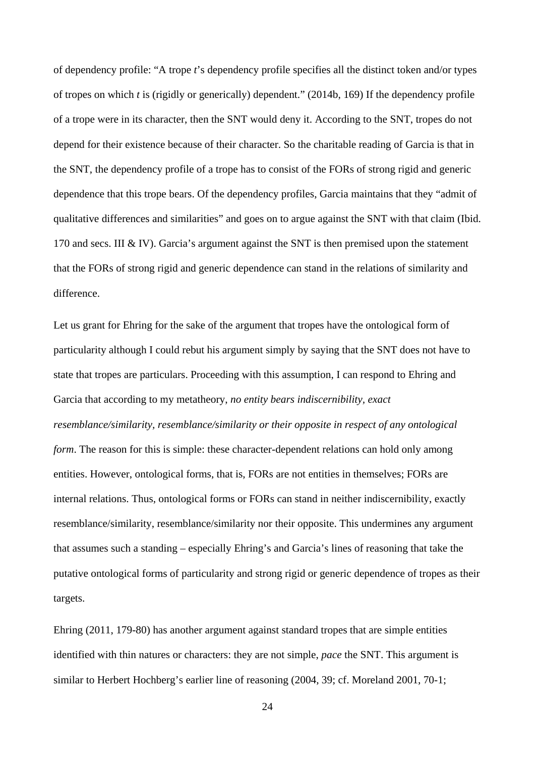of dependency profile: "A trope *t*'s dependency profile specifies all the distinct token and/or types of tropes on which *t* is (rigidly or generically) dependent." (2014b, 169) If the dependency profile of a trope were in its character, then the SNT would deny it. According to the SNT, tropes do not depend for their existence because of their character. So the charitable reading of Garcia is that in the SNT, the dependency profile of a trope has to consist of the FORs of strong rigid and generic dependence that this trope bears. Of the dependency profiles, Garcia maintains that they "admit of qualitative differences and similarities" and goes on to argue against the SNT with that claim (Ibid. 170 and secs. III & IV). Garcia's argument against the SNT is then premised upon the statement that the FORs of strong rigid and generic dependence can stand in the relations of similarity and difference.

Let us grant for Ehring for the sake of the argument that tropes have the ontological form of particularity although I could rebut his argument simply by saying that the SNT does not have to state that tropes are particulars. Proceeding with this assumption, I can respond to Ehring and Garcia that according to my metatheory, *no entity bears indiscernibility, exact resemblance/similarity, resemblance/similarity or their opposite in respect of any ontological form*. The reason for this is simple: these character-dependent relations can hold only among entities. However, ontological forms, that is, FORs are not entities in themselves; FORs are internal relations. Thus, ontological forms or FORs can stand in neither indiscernibility, exactly resemblance/similarity, resemblance/similarity nor their opposite. This undermines any argument that assumes such a standing – especially Ehring's and Garcia's lines of reasoning that take the putative ontological forms of particularity and strong rigid or generic dependence of tropes as their targets.

Ehring (2011, 179-80) has another argument against standard tropes that are simple entities identified with thin natures or characters: they are not simple, *pace* the SNT. This argument is similar to Herbert Hochberg's earlier line of reasoning (2004, 39; cf. Moreland 2001, 70-1;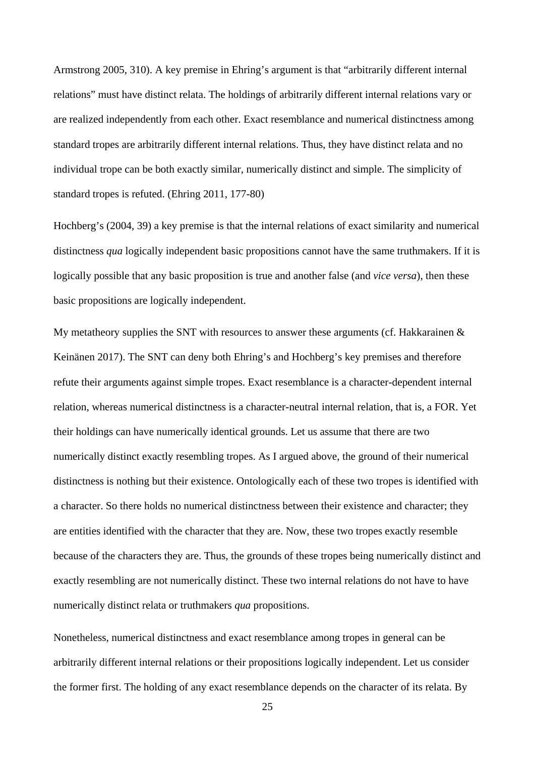Armstrong 2005, 310). A key premise in Ehring's argument is that "arbitrarily different internal relations" must have distinct relata. The holdings of arbitrarily different internal relations vary or are realized independently from each other. Exact resemblance and numerical distinctness among standard tropes are arbitrarily different internal relations. Thus, they have distinct relata and no individual trope can be both exactly similar, numerically distinct and simple. The simplicity of standard tropes is refuted. (Ehring 2011, 177-80)

Hochberg's (2004, 39) a key premise is that the internal relations of exact similarity and numerical distinctness *qua* logically independent basic propositions cannot have the same truthmakers. If it is logically possible that any basic proposition is true and another false (and *vice versa*), then these basic propositions are logically independent.

My metatheory supplies the SNT with resources to answer these arguments (cf. Hakkarainen  $\&$ Keinänen 2017). The SNT can deny both Ehring's and Hochberg's key premises and therefore refute their arguments against simple tropes. Exact resemblance is a character-dependent internal relation, whereas numerical distinctness is a character-neutral internal relation, that is, a FOR. Yet their holdings can have numerically identical grounds. Let us assume that there are two numerically distinct exactly resembling tropes. As I argued above, the ground of their numerical distinctness is nothing but their existence. Ontologically each of these two tropes is identified with a character. So there holds no numerical distinctness between their existence and character; they are entities identified with the character that they are. Now, these two tropes exactly resemble because of the characters they are. Thus, the grounds of these tropes being numerically distinct and exactly resembling are not numerically distinct. These two internal relations do not have to have numerically distinct relata or truthmakers *qua* propositions.

Nonetheless, numerical distinctness and exact resemblance among tropes in general can be arbitrarily different internal relations or their propositions logically independent. Let us consider the former first. The holding of any exact resemblance depends on the character of its relata. By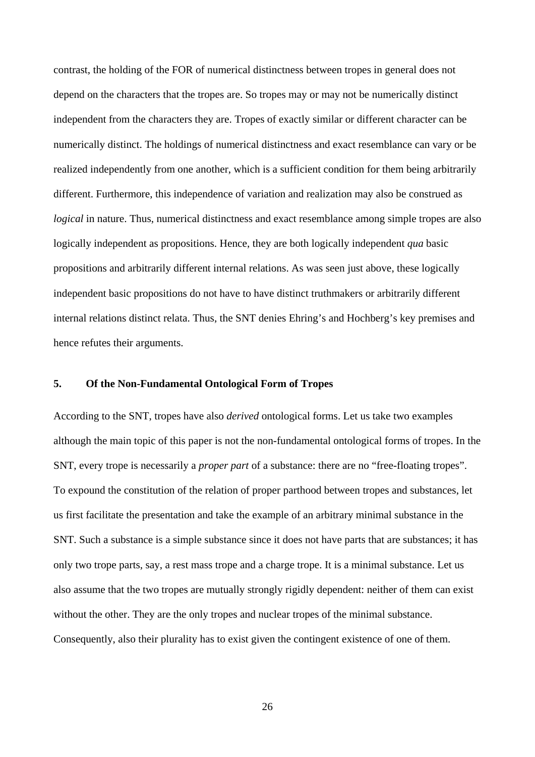contrast, the holding of the FOR of numerical distinctness between tropes in general does not depend on the characters that the tropes are. So tropes may or may not be numerically distinct independent from the characters they are. Tropes of exactly similar or different character can be numerically distinct. The holdings of numerical distinctness and exact resemblance can vary or be realized independently from one another, which is a sufficient condition for them being arbitrarily different. Furthermore, this independence of variation and realization may also be construed as *logical* in nature. Thus, numerical distinctness and exact resemblance among simple tropes are also logically independent as propositions. Hence, they are both logically independent *qua* basic propositions and arbitrarily different internal relations. As was seen just above, these logically independent basic propositions do not have to have distinct truthmakers or arbitrarily different internal relations distinct relata. Thus, the SNT denies Ehring's and Hochberg's key premises and hence refutes their arguments.

# **5. Of the Non-Fundamental Ontological Form of Tropes**

According to the SNT, tropes have also *derived* ontological forms. Let us take two examples although the main topic of this paper is not the non-fundamental ontological forms of tropes. In the SNT, every trope is necessarily a *proper part* of a substance: there are no "free-floating tropes". To expound the constitution of the relation of proper parthood between tropes and substances, let us first facilitate the presentation and take the example of an arbitrary minimal substance in the SNT. Such a substance is a simple substance since it does not have parts that are substances; it has only two trope parts, say, a rest mass trope and a charge trope. It is a minimal substance. Let us also assume that the two tropes are mutually strongly rigidly dependent: neither of them can exist without the other. They are the only tropes and nuclear tropes of the minimal substance. Consequently, also their plurality has to exist given the contingent existence of one of them.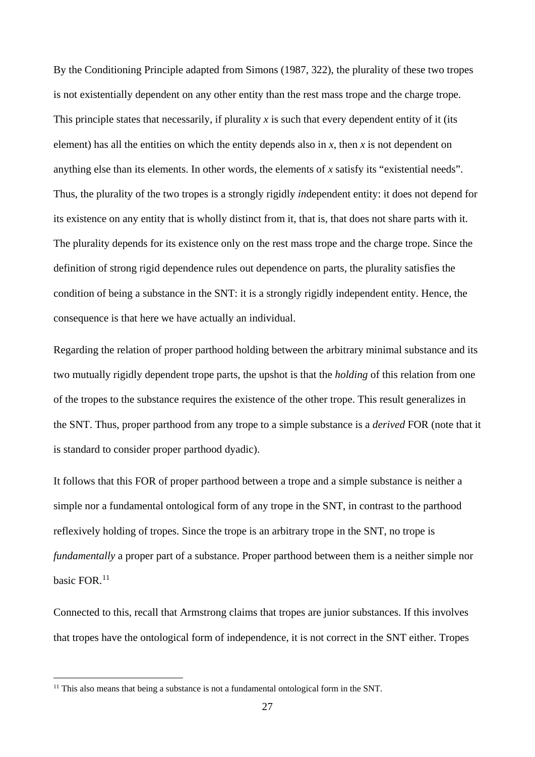By the Conditioning Principle adapted from Simons (1987, 322), the plurality of these two tropes is not existentially dependent on any other entity than the rest mass trope and the charge trope. This principle states that necessarily, if plurality  $x$  is such that every dependent entity of it (its element) has all the entities on which the entity depends also in  $x$ , then  $x$  is not dependent on anything else than its elements. In other words, the elements of *x* satisfy its "existential needs". Thus, the plurality of the two tropes is a strongly rigidly *in*dependent entity: it does not depend for its existence on any entity that is wholly distinct from it, that is, that does not share parts with it. The plurality depends for its existence only on the rest mass trope and the charge trope. Since the definition of strong rigid dependence rules out dependence on parts, the plurality satisfies the condition of being a substance in the SNT: it is a strongly rigidly independent entity. Hence, the consequence is that here we have actually an individual.

Regarding the relation of proper parthood holding between the arbitrary minimal substance and its two mutually rigidly dependent trope parts, the upshot is that the *holding* of this relation from one of the tropes to the substance requires the existence of the other trope. This result generalizes in the SNT. Thus, proper parthood from any trope to a simple substance is a *derived* FOR (note that it is standard to consider proper parthood dyadic).

It follows that this FOR of proper parthood between a trope and a simple substance is neither a simple nor a fundamental ontological form of any trope in the SNT, in contrast to the parthood reflexively holding of tropes. Since the trope is an arbitrary trope in the SNT, no trope is *fundamentally* a proper part of a substance. Proper parthood between them is a neither simple nor basic FOR.<sup>[11](#page-26-0)</sup>

Connected to this, recall that Armstrong claims that tropes are junior substances. If this involves that tropes have the ontological form of independence, it is not correct in the SNT either. Tropes

<span id="page-26-0"></span> $11$  This also means that being a substance is not a fundamental ontological form in the SNT.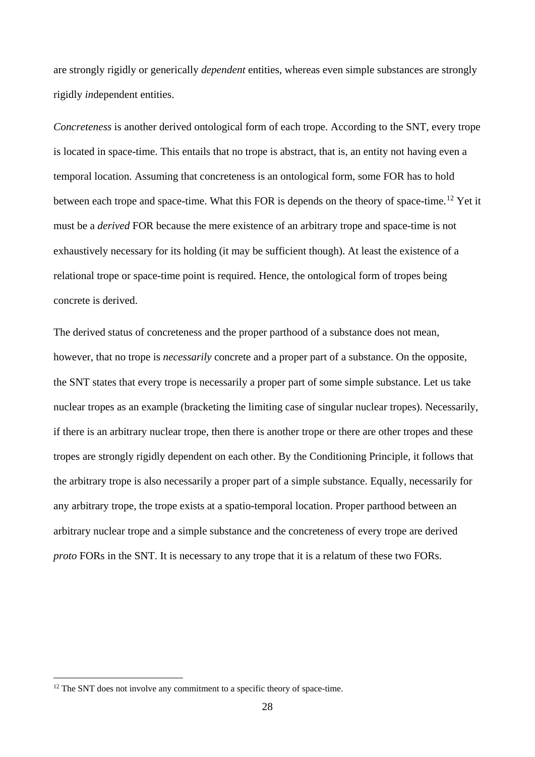are strongly rigidly or generically *dependent* entities, whereas even simple substances are strongly rigidly *in*dependent entities.

*Concreteness* is another derived ontological form of each trope. According to the SNT, every trope is located in space-time. This entails that no trope is abstract, that is, an entity not having even a temporal location. Assuming that concreteness is an ontological form, some FOR has to hold between each trope and space-time. What this FOR is depends on the theory of space-time.<sup>[12](#page-27-0)</sup> Yet it must be a *derived* FOR because the mere existence of an arbitrary trope and space-time is not exhaustively necessary for its holding (it may be sufficient though). At least the existence of a relational trope or space-time point is required. Hence, the ontological form of tropes being concrete is derived.

The derived status of concreteness and the proper parthood of a substance does not mean, however, that no trope is *necessarily* concrete and a proper part of a substance. On the opposite, the SNT states that every trope is necessarily a proper part of some simple substance. Let us take nuclear tropes as an example (bracketing the limiting case of singular nuclear tropes). Necessarily, if there is an arbitrary nuclear trope, then there is another trope or there are other tropes and these tropes are strongly rigidly dependent on each other. By the Conditioning Principle, it follows that the arbitrary trope is also necessarily a proper part of a simple substance. Equally, necessarily for any arbitrary trope, the trope exists at a spatio-temporal location. Proper parthood between an arbitrary nuclear trope and a simple substance and the concreteness of every trope are derived *proto* FORs in the SNT. It is necessary to any trope that it is a relatum of these two FORs.

<span id="page-27-0"></span><sup>&</sup>lt;sup>12</sup> The SNT does not involve any commitment to a specific theory of space-time.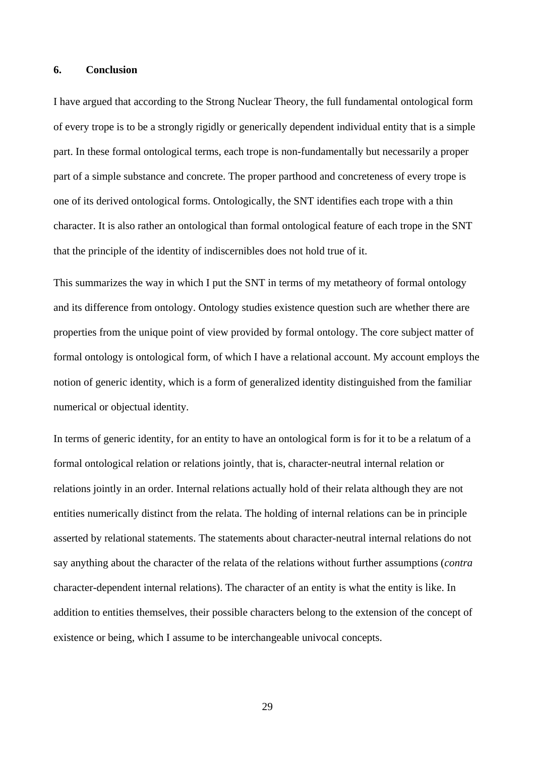## **6. Conclusion**

I have argued that according to the Strong Nuclear Theory, the full fundamental ontological form of every trope is to be a strongly rigidly or generically dependent individual entity that is a simple part. In these formal ontological terms, each trope is non-fundamentally but necessarily a proper part of a simple substance and concrete. The proper parthood and concreteness of every trope is one of its derived ontological forms. Ontologically, the SNT identifies each trope with a thin character. It is also rather an ontological than formal ontological feature of each trope in the SNT that the principle of the identity of indiscernibles does not hold true of it.

This summarizes the way in which I put the SNT in terms of my metatheory of formal ontology and its difference from ontology. Ontology studies existence question such are whether there are properties from the unique point of view provided by formal ontology. The core subject matter of formal ontology is ontological form, of which I have a relational account. My account employs the notion of generic identity, which is a form of generalized identity distinguished from the familiar numerical or objectual identity.

In terms of generic identity, for an entity to have an ontological form is for it to be a relatum of a formal ontological relation or relations jointly, that is, character-neutral internal relation or relations jointly in an order. Internal relations actually hold of their relata although they are not entities numerically distinct from the relata. The holding of internal relations can be in principle asserted by relational statements. The statements about character-neutral internal relations do not say anything about the character of the relata of the relations without further assumptions (*contra* character-dependent internal relations). The character of an entity is what the entity is like. In addition to entities themselves, their possible characters belong to the extension of the concept of existence or being, which I assume to be interchangeable univocal concepts.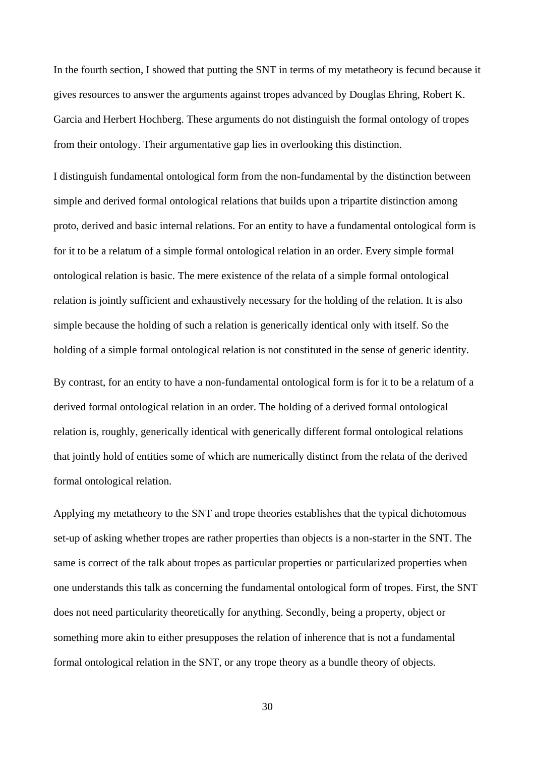In the fourth section, I showed that putting the SNT in terms of my metatheory is fecund because it gives resources to answer the arguments against tropes advanced by Douglas Ehring, Robert K. Garcia and Herbert Hochberg. These arguments do not distinguish the formal ontology of tropes from their ontology. Their argumentative gap lies in overlooking this distinction.

I distinguish fundamental ontological form from the non-fundamental by the distinction between simple and derived formal ontological relations that builds upon a tripartite distinction among proto, derived and basic internal relations. For an entity to have a fundamental ontological form is for it to be a relatum of a simple formal ontological relation in an order. Every simple formal ontological relation is basic. The mere existence of the relata of a simple formal ontological relation is jointly sufficient and exhaustively necessary for the holding of the relation. It is also simple because the holding of such a relation is generically identical only with itself. So the holding of a simple formal ontological relation is not constituted in the sense of generic identity.

By contrast, for an entity to have a non-fundamental ontological form is for it to be a relatum of a derived formal ontological relation in an order. The holding of a derived formal ontological relation is, roughly, generically identical with generically different formal ontological relations that jointly hold of entities some of which are numerically distinct from the relata of the derived formal ontological relation.

Applying my metatheory to the SNT and trope theories establishes that the typical dichotomous set-up of asking whether tropes are rather properties than objects is a non-starter in the SNT. The same is correct of the talk about tropes as particular properties or particularized properties when one understands this talk as concerning the fundamental ontological form of tropes. First, the SNT does not need particularity theoretically for anything. Secondly, being a property, object or something more akin to either presupposes the relation of inherence that is not a fundamental formal ontological relation in the SNT, or any trope theory as a bundle theory of objects.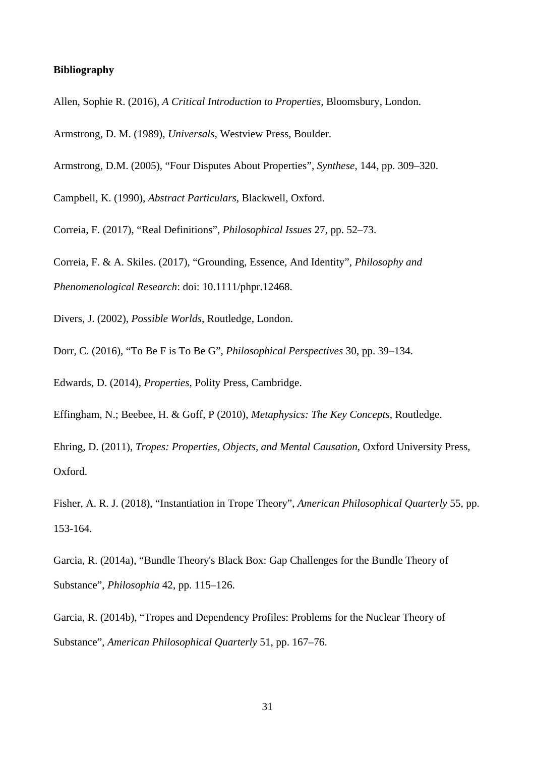### **Bibliography**

Allen, Sophie R. (2016), *A Critical Introduction to Properties*, Bloomsbury, London.

Armstrong, D. M. (1989), *Universals*, Westview Press, Boulder.

Armstrong, D.M. (2005), "Four Disputes About Properties", *Synthese*, 144, pp. 309–320.

Campbell, K. (1990), *Abstract Particulars*, Blackwell, Oxford.

Correia, F. (2017), "Real Definitions", *Philosophical Issues* 27, pp. 52–73.

Correia, F. & A. Skiles. (2017), "Grounding, Essence, And Identity", *Philosophy and Phenomenological Research*: doi: 10.1111/phpr.12468.

Divers, J. (2002), *Possible Worlds*, Routledge, London.

Dorr, C. (2016), "To Be F is To Be G", *Philosophical Perspectives* 30, pp. 39–134.

Edwards, D. (2014), *Properties*, Polity Press, Cambridge.

Effingham, N.; Beebee, H. & Goff, P (2010), *Metaphysics: The Key Concepts*, Routledge.

Ehring, D. (2011), *Tropes: Properties, Objects, and Mental Causation*, Oxford University Press, Oxford.

Fisher, A. R. J. (2018), "Instantiation in Trope Theory", *American Philosophical Quarterly* 55, pp. 153-164.

Garcia, R. (2014a), "Bundle Theory's Black Box: Gap Challenges for the Bundle Theory of Substance", *Philosophia* 42, pp. 115–126.

Garcia, R. (2014b), "Tropes and Dependency Profiles: Problems for the Nuclear Theory of Substance", *American Philosophical Quarterly* 51, pp. 167–76.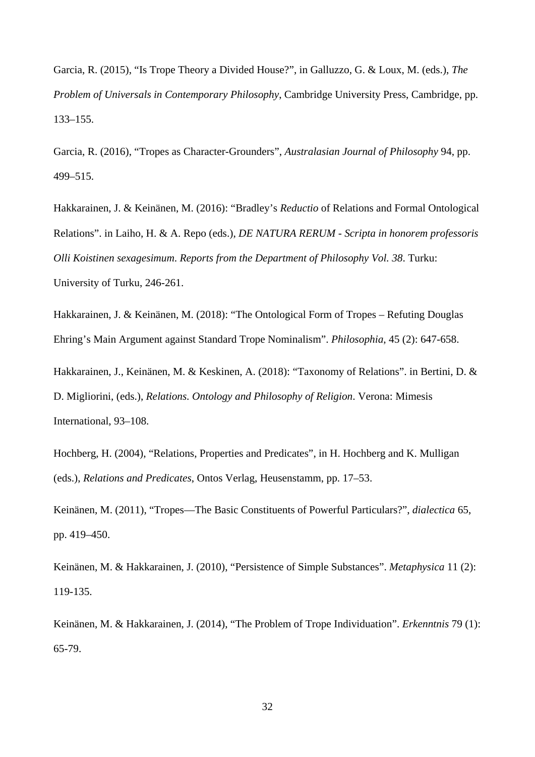Garcia, R. (2015), "Is Trope Theory a Divided House?", in Galluzzo, G. & Loux, M. (eds.), *The Problem of Universals in Contemporary Philosophy*, Cambridge University Press, Cambridge, pp. 133–155.

Garcia, R. (2016), "Tropes as Character-Grounders", *Australasian Journal of Philosophy* 94, pp. 499–515.

Hakkarainen, J. & Keinänen, M. (2016): "Bradley's *Reductio* of Relations and Formal Ontological Relations". in Laiho, H. & A. Repo (eds.), *DE NATURA RERUM - Scripta in honorem professoris Olli Koistinen sexagesimum*. *Reports from the Department of Philosophy Vol. 38*. Turku: University of Turku, 246-261.

Hakkarainen, J. & Keinänen, M. (2018): "The Ontological Form of Tropes – Refuting Douglas Ehring's Main Argument against Standard Trope Nominalism". *Philosophia*, 45 (2): 647-658.

Hakkarainen, J., Keinänen, M. & Keskinen, A. (2018): "Taxonomy of Relations". in Bertini, D. & D. Migliorini, (eds.), *Relations. Ontology and Philosophy of Religion*. Verona: Mimesis International, 93–108.

Hochberg, H. (2004), "Relations, Properties and Predicates", in H. Hochberg and K. Mulligan (eds.), *Relations and Predicates*, Ontos Verlag, Heusenstamm, pp. 17–53.

Keinänen, M. (2011), "Tropes—The Basic Constituents of Powerful Particulars?", *dialectica* 65, pp. 419–450.

Keinänen, M. & Hakkarainen, J. (2010), "Persistence of Simple Substances". *Metaphysica* 11 (2): 119-135.

Keinänen, M. & Hakkarainen, J. (2014), "The Problem of Trope Individuation". *Erkenntnis* 79 (1): 65-79.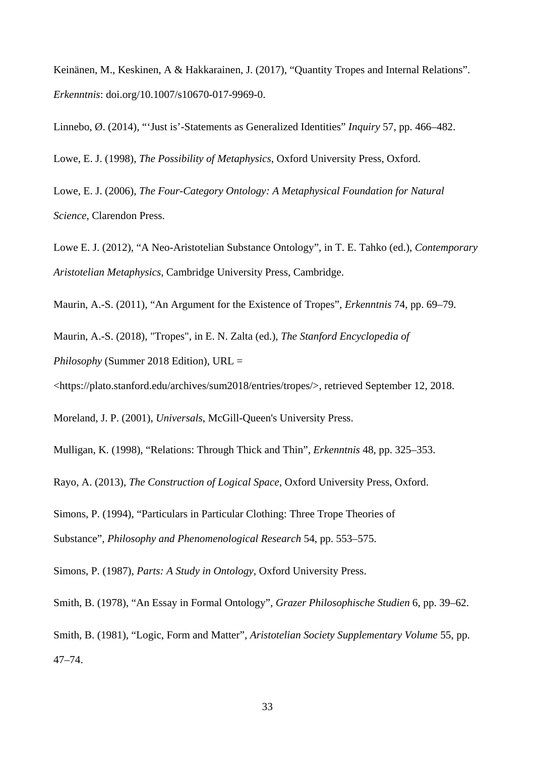Keinänen, M., Keskinen, A & Hakkarainen, J. (2017), "Quantity Tropes and Internal Relations". *Erkenntnis*: doi.org/10.1007/s10670-017-9969-0.

Linnebo, Ø. (2014), "'Just is'-Statements as Generalized Identities" *Inquiry* 57, pp. 466–482.

Lowe, E. J. (1998), *The Possibility of Metaphysics*, Oxford University Press, Oxford.

Lowe, E. J. (2006), *The Four-Category Ontology: A Metaphysical Foundation for Natural Science*, Clarendon Press.

Lowe E. J. (2012), "A Neo-Aristotelian Substance Ontology", in T. E. Tahko (ed.), *Contemporary Aristotelian Metaphysics*, Cambridge University Press, Cambridge.

Maurin, A.-S. (2011), "An Argument for the Existence of Tropes", *Erkenntnis* 74, pp. 69–79.

Maurin, A.-S. (2018), "Tropes", in E. N. Zalta (ed.), *The Stanford Encyclopedia of* 

*Philosophy* (Summer 2018 Edition), URL =

<https://plato.stanford.edu/archives/sum2018/entries/tropes/>, retrieved September 12, 2018.

Moreland, J. P. (2001), *Universals*, McGill-Queen's University Press.

Mulligan, K. (1998), "Relations: Through Thick and Thin", *Erkenntnis* 48, pp. 325–353.

Rayo, A. (2013), *The Construction of Logical Space*, Oxford University Press, Oxford.

Simons, P. (1994), "Particulars in Particular Clothing: Three Trope Theories of

Substance", *Philosophy and Phenomenological Research* 54, pp. 553–575.

Simons, P. (1987), *Parts: A Study in Ontology*, Oxford University Press.

Smith, B. (1978), "An Essay in Formal Ontology", *Grazer Philosophische Studien* 6, pp. 39–62.

Smith, B. (1981), "Logic, Form and Matter", *Aristotelian Society Supplementary Volume* 55, pp. 47–74.